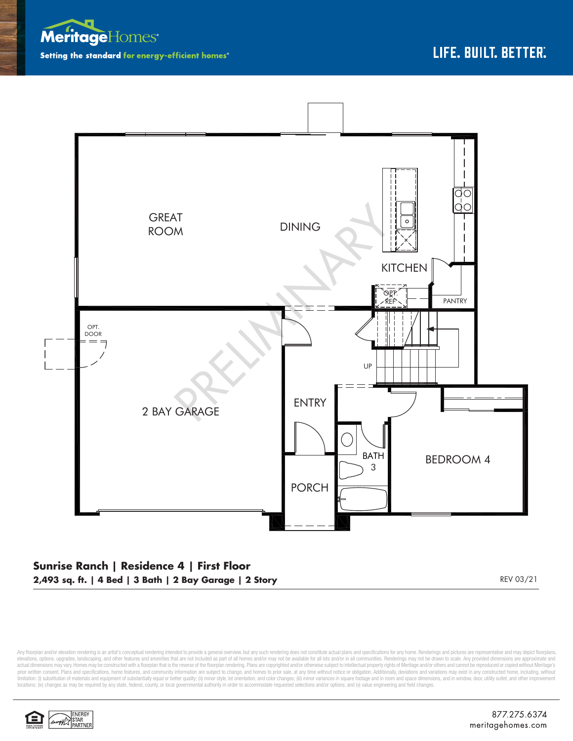



## **Sunrise Ranch | Residence 4 | First Floor 2,493 sq. ft. | 4 Bed | 3 Bath | 2 Bay Garage | 2 Story** REV 03/21

Any floorplan and/or elevation rendering is an artist's conceptual rendering intended to provide a general overview, but any such rendering does not constitute actual plans and specifications for any home. Renderings and p elevations, options, upgrades, landscaping, and other features and amenities that are not included as part of all homes and/or may not be available for all lots and/or in all communities. Renderings may not be drawn to sca limitation: (i) substitution of materials and equipment of substantially equal or better quality; (ii) minor style, lot orientation, and color changes; (iii) minor variances in square footage and in room and space dimensio locations; (iv) changes as may be required by any state, federal, county, or local governmental authority in order to accommodate requested selections and/or options; and (v) value engineering and field changes.